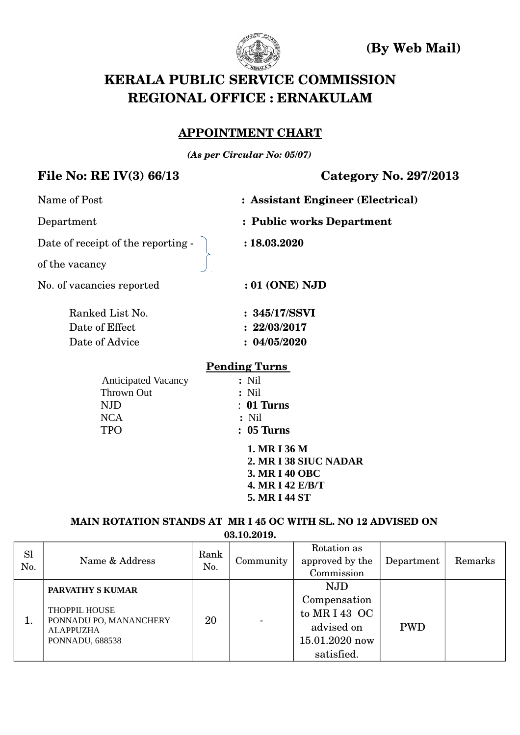

 **(By Web Mail)**

# **KERALA PUBLIC SERVICE COMMISSION REGIONAL OFFICE : ERNAKULAM**

#### **APPOINTMENT CHART**

*(As per Circular No: 05/07)*

### **File No: RE IV(3) 66/13 Category No. 297/2013**

| Name of Post                       | : Assistant Engineer (Electrical) |
|------------------------------------|-----------------------------------|
| Department                         | : Public works Department         |
| Date of receipt of the reporting - | : 18.03.2020                      |
| of the vacancy                     |                                   |
| No. of vacancies reported          | $:01$ (ONE) NJD                   |
| Ranked List No.                    | : 345/17/SSVI                     |
| Date of Effect                     | : 22/03/2017                      |
| Date of Advice                     | : 04/05/2020                      |
|                                    | <b>Pending Turns</b>              |
| <b>Anticipated Vacancy</b>         | $:$ Nil                           |
| Thrown Out                         | $:$ Nil                           |
| <b>NJD</b>                         | $: 01$ Turns                      |
| <b>NCA</b>                         | $:$ Nil                           |
| <b>TPO</b>                         | $: 05$ Turns                      |
|                                    | 1. MR I 36 M                      |
|                                    | 2. MR I 38 SIUC NADAR             |
|                                    | 3. MR I 40 OBC                    |

#### **MAIN ROTATION STANDS AT MR I 45 OC WITH SL. NO 12 ADVISED ON 03.10.2019.**

 **4. MR I 42 E/B/T 5. MR I 44 ST**

| <b>Sl</b><br>No. | Name & Address                                                                                                   | Rank<br>No. | Community | Rotation as<br>approved by the<br>Commission                                            | Department | Remarks |
|------------------|------------------------------------------------------------------------------------------------------------------|-------------|-----------|-----------------------------------------------------------------------------------------|------------|---------|
|                  | <b>PARVATHY S KUMAR</b><br><b>THOPPIL HOUSE</b><br>PONNADU PO, MANANCHERY<br><b>ALAPPUZHA</b><br>PONNADU, 688538 | 20          | -         | <b>NJD</b><br>Compensation<br>to MRI43 OC<br>advised on<br>15.01.2020 now<br>satisfied. | <b>PWD</b> |         |